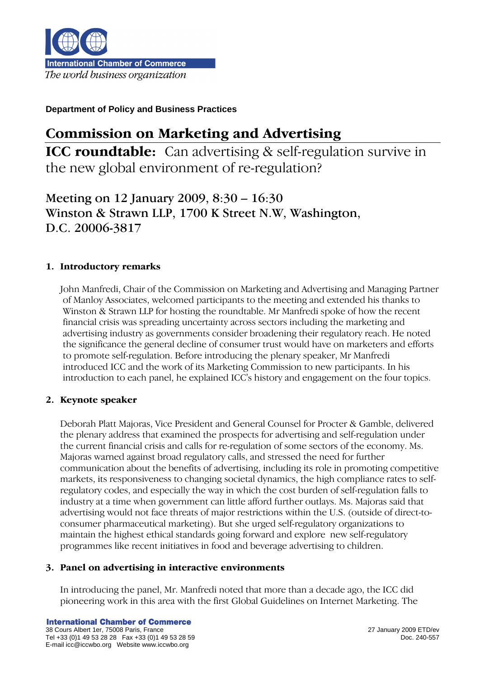

# Commission on Marketing and Advertising

**ICC roundtable:** Can advertising & self-regulation survive in the new global environment of re-regulation?

Meeting on 12 January 2009, 8:30 – 16:30 Winston & Strawn LLP, 1700 K Street N.W, Washington, D.C. 20006-3817

# 1. Introductory remarks

John Manfredi, Chair of the Commission on Marketing and Advertising and Managing Partner of Manloy Associates, welcomed participants to the meeting and extended his thanks to Winston & Strawn LLP for hosting the roundtable. Mr Manfredi spoke of how the recent financial crisis was spreading uncertainty across sectors including the marketing and advertising industry as governments consider broadening their regulatory reach. He noted the significance the general decline of consumer trust would have on marketers and efforts to promote self-regulation. Before introducing the plenary speaker, Mr Manfredi introduced ICC and the work of its Marketing Commission to new participants. In his introduction to each panel, he explained ICC's history and engagement on the four topics.

# 2. Keynote speaker

Deborah Platt Majoras, Vice President and General Counsel for Procter & Gamble, delivered the plenary address that examined the prospects for advertising and self-regulation under the current financial crisis and calls for re-regulation of some sectors of the economy. Ms. Majoras warned against broad regulatory calls, and stressed the need for further communication about the benefits of advertising, including its role in promoting competitive markets, its responsiveness to changing societal dynamics, the high compliance rates to selfregulatory codes, and especially the way in which the cost burden of self-regulation falls to industry at a time when government can little afford further outlays. Ms. Majoras said that advertising would not face threats of major restrictions within the U.S. (outside of direct-toconsumer pharmaceutical marketing). But she urged self-regulatory organizations to maintain the highest ethical standards going forward and explore new self-regulatory programmes like recent initiatives in food and beverage advertising to children.

# 3. Panel on advertising in interactive environments

In introducing the panel, Mr. Manfredi noted that more than a decade ago, the ICC did pioneering work in this area with the first Global Guidelines on Internet Marketing. The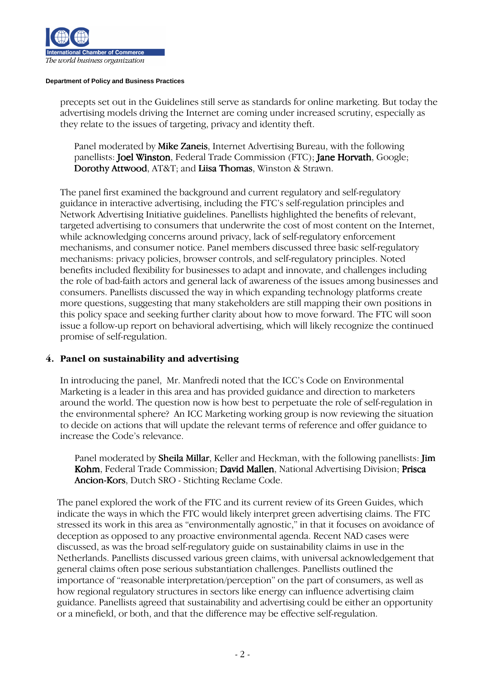

precepts set out in the Guidelines still serve as standards for online marketing. But today the advertising models driving the Internet are coming under increased scrutiny, especially as they relate to the issues of targeting, privacy and identity theft.

Panel moderated by **Mike Zaneis**, Internet Advertising Bureau, with the following panellists: Joel Winston, Federal Trade Commission (FTC); Jane Horvath, Google; Dorothy Attwood, AT&T; and Liisa Thomas, Winston & Strawn.

The panel first examined the background and current regulatory and self-regulatory guidance in interactive advertising, including the FTC's self-regulation principles and Network Advertising Initiative guidelines. Panellists highlighted the benefits of relevant, targeted advertising to consumers that underwrite the cost of most content on the Internet, while acknowledging concerns around privacy, lack of self-regulatory enforcement mechanisms, and consumer notice. Panel members discussed three basic self-regulatory mechanisms: privacy policies, browser controls, and self-regulatory principles. Noted benefits included flexibility for businesses to adapt and innovate, and challenges including the role of bad-faith actors and general lack of awareness of the issues among businesses and consumers. Panellists discussed the way in which expanding technology platforms create more questions, suggesting that many stakeholders are still mapping their own positions in this policy space and seeking further clarity about how to move forward. The FTC will soon issue a follow-up report on behavioral advertising, which will likely recognize the continued promise of self-regulation.

# 4. Panel on sustainability and advertising

In introducing the panel, Mr. Manfredi noted that the ICC's Code on Environmental Marketing is a leader in this area and has provided guidance and direction to marketers around the world. The question now is how best to perpetuate the role of self-regulation in the environmental sphere? An ICC Marketing working group is now reviewing the situation to decide on actions that will update the relevant terms of reference and offer guidance to increase the Code's relevance.

Panel moderated by **Sheila Millar**, Keller and Heckman, with the following panellists: **Jim** Kohm, Federal Trade Commission; David Mallen, National Advertising Division; Prisca Ancion-Kors, Dutch SRO - Stichting Reclame Code.

 The panel explored the work of the FTC and its current review of its Green Guides, which indicate the ways in which the FTC would likely interpret green advertising claims. The FTC stressed its work in this area as "environmentally agnostic," in that it focuses on avoidance of deception as opposed to any proactive environmental agenda. Recent NAD cases were discussed, as was the broad self-regulatory guide on sustainability claims in use in the Netherlands. Panellists discussed various green claims, with universal acknowledgement that general claims often pose serious substantiation challenges. Panellists outlined the importance of "reasonable interpretation/perception" on the part of consumers, as well as how regional regulatory structures in sectors like energy can influence advertising claim guidance. Panellists agreed that sustainability and advertising could be either an opportunity or a minefield, or both, and that the difference may be effective self-regulation.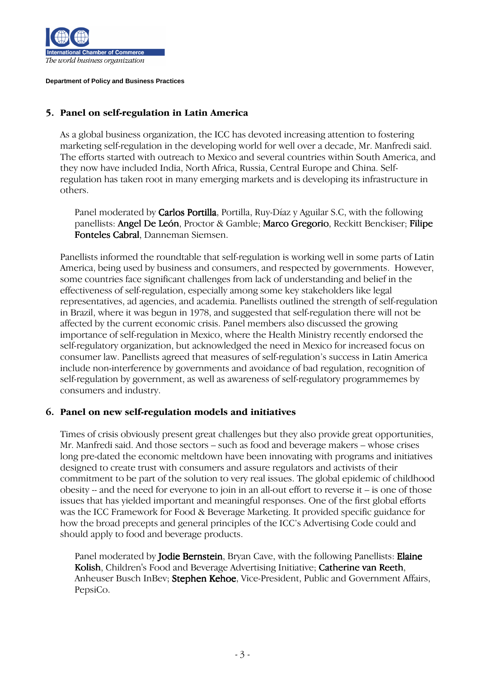

## 5. Panel on self-regulation in Latin America

As a global business organization, the ICC has devoted increasing attention to fostering marketing self-regulation in the developing world for well over a decade, Mr. Manfredi said. The efforts started with outreach to Mexico and several countries within South America, and they now have included India, North Africa, Russia, Central Europe and China. Selfregulation has taken root in many emerging markets and is developing its infrastructure in others.

Panel moderated by **Carlos Portilla**, Portilla, Ruy-Díaz y Aguilar S.C, with the following panellists: Angel De León, Proctor & Gamble; Marco Gregorio, Reckitt Benckiser; Filipe Fonteles Cabral, Danneman Siemsen.

Panellists informed the roundtable that self-regulation is working well in some parts of Latin America, being used by business and consumers, and respected by governments. However, some countries face significant challenges from lack of understanding and belief in the effectiveness of self-regulation, especially among some key stakeholders like legal representatives, ad agencies, and academia. Panellists outlined the strength of self-regulation in Brazil, where it was begun in 1978, and suggested that self-regulation there will not be affected by the current economic crisis. Panel members also discussed the growing importance of self-regulation in Mexico, where the Health Ministry recently endorsed the self-regulatory organization, but acknowledged the need in Mexico for increased focus on consumer law. Panellists agreed that measures of self-regulation's success in Latin America include non-interference by governments and avoidance of bad regulation, recognition of self-regulation by government, as well as awareness of self-regulatory programmemes by consumers and industry.

## 6. Panel on new self-regulation models and initiatives

Times of crisis obviously present great challenges but they also provide great opportunities, Mr. Manfredi said. And those sectors – such as food and beverage makers – whose crises long pre-dated the economic meltdown have been innovating with programs and initiatives designed to create trust with consumers and assure regulators and activists of their commitment to be part of the solution to very real issues. The global epidemic of childhood obesity -- and the need for everyone to join in an all-out effort to reverse it – is one of those issues that has yielded important and meaningful responses. One of the first global efforts was the ICC Framework for Food & Beverage Marketing. It provided specific guidance for how the broad precepts and general principles of the ICC's Advertising Code could and should apply to food and beverage products.

Panel moderated by Jodie Bernstein, Bryan Cave, with the following Panellists: Elaine Kolish, Children's Food and Beverage Advertising Initiative; Catherine van Reeth, Anheuser Busch InBev; Stephen Kehoe, Vice-President, Public and Government Affairs, PepsiCo.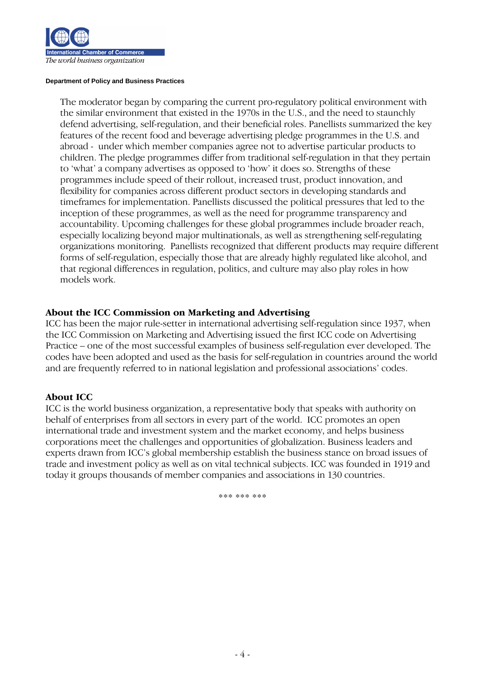

The moderator began by comparing the current pro-regulatory political environment with the similar environment that existed in the 1970s in the U.S., and the need to staunchly defend advertising, self-regulation, and their beneficial roles. Panellists summarized the key features of the recent food and beverage advertising pledge programmes in the U.S. and abroad - under which member companies agree not to advertise particular products to children. The pledge programmes differ from traditional self-regulation in that they pertain to 'what' a company advertises as opposed to 'how' it does so. Strengths of these programmes include speed of their rollout, increased trust, product innovation, and flexibility for companies across different product sectors in developing standards and timeframes for implementation. Panellists discussed the political pressures that led to the inception of these programmes, as well as the need for programme transparency and accountability. Upcoming challenges for these global programmes include broader reach, especially localizing beyond major multinationals, as well as strengthening self-regulating organizations monitoring. Panellists recognized that different products may require different forms of self-regulation, especially those that are already highly regulated like alcohol, and that regional differences in regulation, politics, and culture may also play roles in how models work.

## About the ICC Commission on Marketing and Advertising

ICC has been the major rule-setter in international advertising self-regulation since 1937, when the ICC Commission on Marketing and Advertising issued the first ICC code on Advertising Practice – one of the most successful examples of business self-regulation ever developed. The codes have been adopted and used as the basis for self-regulation in countries around the world and are frequently referred to in national legislation and professional associations' codes.

## About ICC

ICC is the world business organization, a representative body that speaks with authority on behalf of enterprises from all sectors in every part of the world. ICC promotes an open international trade and investment system and the market economy, and helps business corporations meet the challenges and opportunities of globalization. Business leaders and experts drawn from ICC's global membership establish the business stance on broad issues of trade and investment policy as well as on vital technical subjects. ICC was founded in 1919 and today it groups thousands of member companies and associations in 130 countries.

\*\*\* \*\*\* \*\*\*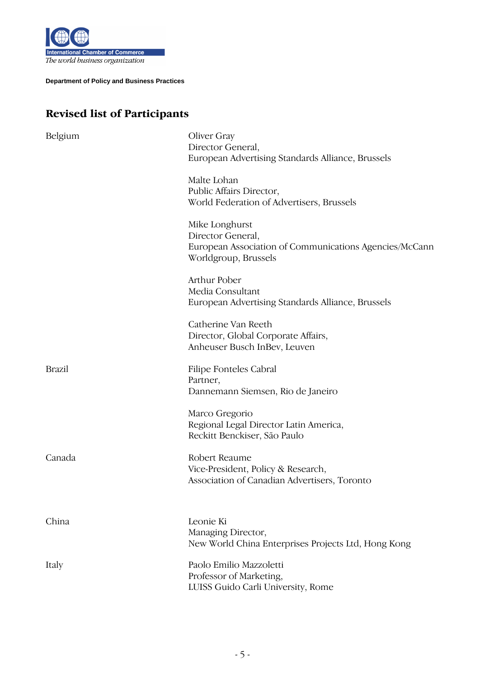

# Revised list of Participants

| Belgium       | Oliver Gray<br>Director General,<br>European Advertising Standards Alliance, Brussels                                 |
|---------------|-----------------------------------------------------------------------------------------------------------------------|
|               | Malte Lohan<br>Public Affairs Director,<br>World Federation of Advertisers, Brussels                                  |
|               | Mike Longhurst<br>Director General,<br>European Association of Communications Agencies/McCann<br>Worldgroup, Brussels |
|               | Arthur Pober<br>Media Consultant<br>European Advertising Standards Alliance, Brussels                                 |
|               | Catherine Van Reeth<br>Director, Global Corporate Affairs,<br>Anheuser Busch InBev, Leuven                            |
| <b>Brazil</b> | Filipe Fonteles Cabral<br>Partner,<br>Dannemann Siemsen, Rio de Janeiro                                               |
|               | Marco Gregorio<br>Regional Legal Director Latin America,<br>Reckitt Benckiser, São Paulo                              |
| Canada        | Robert Reaume<br>Vice-President, Policy & Research,<br>Association of Canadian Advertisers, Toronto                   |
| China         | Leonie Ki<br>Managing Director,<br>New World China Enterprises Projects Ltd, Hong Kong                                |
| Italy         | Paolo Emilio Mazzoletti<br>Professor of Marketing,<br>LUISS Guido Carli University, Rome                              |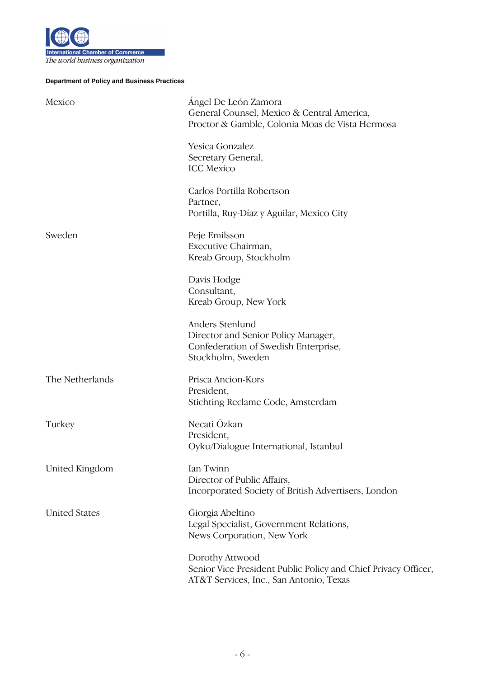

| Mexico               | Angel De León Zamora<br>General Counsel, Mexico & Central America,<br>Proctor & Gamble, Colonia Moas de Vista Hermosa        |
|----------------------|------------------------------------------------------------------------------------------------------------------------------|
|                      | Yesica Gonzalez<br>Secretary General,<br><b>ICC</b> Mexico                                                                   |
|                      | Carlos Portilla Robertson<br>Partner,<br>Portilla, Ruy-Díaz y Aguilar, Mexico City                                           |
| Sweden               | Peje Emilsson<br>Executive Chairman,<br>Kreab Group, Stockholm                                                               |
|                      | Davis Hodge<br>Consultant,<br>Kreab Group, New York                                                                          |
|                      | Anders Stenlund<br>Director and Senior Policy Manager,<br>Confederation of Swedish Enterprise,<br>Stockholm, Sweden          |
| The Netherlands      | Prisca Ancion-Kors<br>President,<br>Stichting Reclame Code, Amsterdam                                                        |
| Turkey               | Necati Özkan<br>President,<br>Oyku/Dialogue International, Istanbul                                                          |
| United Kingdom       | Ian Twinn<br>Director of Public Affairs,<br>Incorporated Society of British Advertisers, London                              |
| <b>United States</b> | Giorgia Abeltino<br>Legal Specialist, Government Relations,<br>News Corporation, New York                                    |
|                      | Dorothy Attwood<br>Senior Vice President Public Policy and Chief Privacy Officer,<br>AT&T Services, Inc., San Antonio, Texas |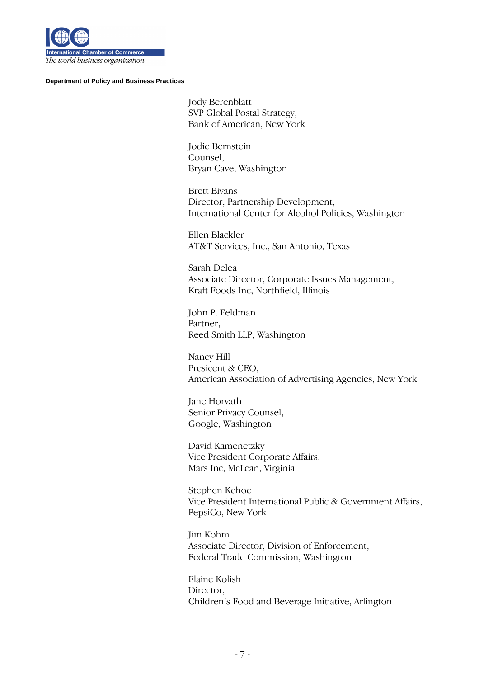

Jody Berenblatt SVP Global Postal Strategy, Bank of American, New York

 Jodie Bernstein Counsel, Bryan Cave, Washington

Brett Bivans Director, Partnership Development, International Center for Alcohol Policies, Washington

Ellen Blackler AT&T Services, Inc., San Antonio, Texas

Sarah Delea Associate Director, Corporate Issues Management, Kraft Foods Inc, Northfield, Illinois

 John P. Feldman Partner, Reed Smith LLP, Washington

 Nancy Hill Presicent & CEO, American Association of Advertising Agencies, New York

 Jane Horvath Senior Privacy Counsel, Google, Washington

 David Kamenetzky Vice President Corporate Affairs, Mars Inc, McLean, Virginia

 Stephen Kehoe Vice President International Public & Government Affairs, PepsiCo, New York

 Jim Kohm Associate Director, Division of Enforcement, Federal Trade Commission, Washington

 Elaine Kolish Director, Children's Food and Beverage Initiative, Arlington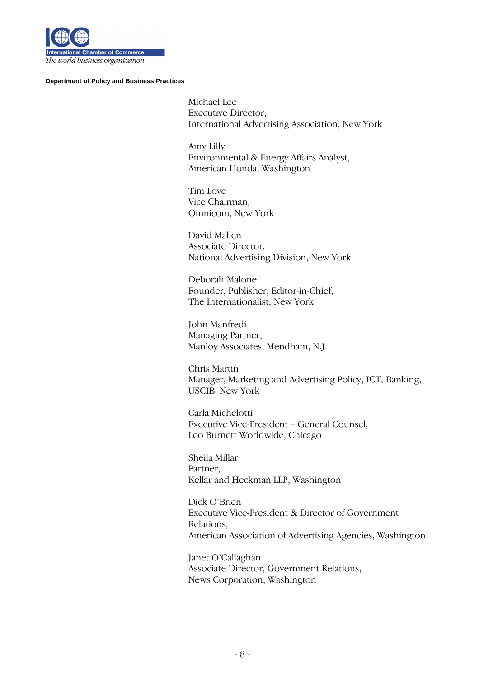

 Michael Lee Executive Director, International Advertising Association, New York

 Amy Lilly Environmental & Energy Affairs Analyst, American Honda, Washington

 Tim Love Vice Chairman, Omnicom, New York

 David Mallen Associate Director, National Advertising Division, New York

 Deborah Malone Founder, Publisher, Editor-in-Chief, The Internationalist, New York

 John Manfredi Managing Partner, Manloy Associates, Mendham, N.J.

 Chris Martin Manager, Marketing and Advertising Policy, ICT, Banking, USCIB, New York

 Carla Michelotti Executive Vice-President – General Counsel, Leo Burnett Worldwide, Chicago

 Sheila Millar Partner, Kellar and Heckman LLP, Washington

 Dick O'Brien Executive Vice-President & Director of Government Relations, American Association of Advertising Agencies, Washington

 Janet O'Callaghan Associate Director, Government Relations, News Corporation, Washington